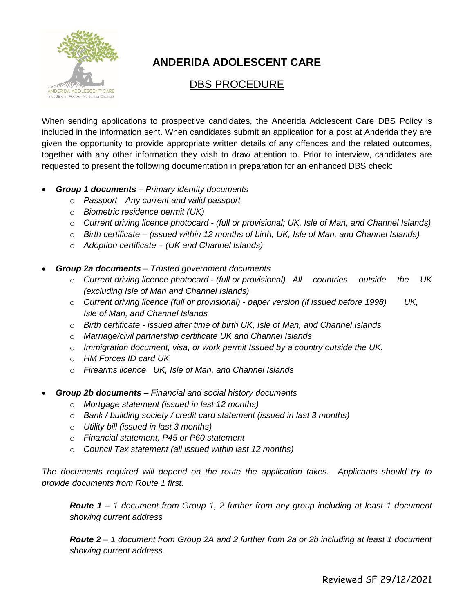

# **ANDERIDA ADOLESCENT CARE**

# DBS PROCEDURE

When sending applications to prospective candidates, the Anderida Adolescent Care DBS Policy is included in the information sent. When candidates submit an application for a post at Anderida they are given the opportunity to provide appropriate written details of any offences and the related outcomes, together with any other information they wish to draw attention to. Prior to interview, candidates are requested to present the following documentation in preparation for an enhanced DBS check:

- *Group 1 documents – Primary identity documents* 
	- o *Passport Any current and valid passport*
	- o *Biometric residence permit (UK)*
	- o *Current driving licence photocard - (full or provisional; UK, Isle of Man, and Channel Islands)*
	- o *Birth certificate – (issued within 12 months of birth; UK, Isle of Man, and Channel Islands)*
	- o *Adoption certificate – (UK and Channel Islands)*
- *Group 2a documents – Trusted government documents* 
	- o *Current driving licence photocard - (full or provisional) All countries outside the UK (excluding Isle of Man and Channel Islands)*
	- o *Current driving licence (full or provisional) - paper version (if issued before 1998) UK, Isle of Man, and Channel Islands*
	- o *Birth certificate - issued after time of birth UK, Isle of Man, and Channel Islands*
	- o *Marriage/civil partnership certificate UK and Channel Islands*
	- o *Immigration document, visa, or work permit Issued by a country outside the UK.*
	- o *HM Forces ID card UK*
	- o *Firearms licence UK, Isle of Man, and Channel Islands*
- *Group 2b documents – Financial and social history documents* 
	- o *Mortgage statement (issued in last 12 months)*
	- o *Bank / building society / credit card statement (issued in last 3 months)*
	- o *Utility bill (issued in last 3 months)*
	- o *Financial statement, P45 or P60 statement*
	- o *Council Tax statement (all issued within last 12 months)*

*The documents required will depend on the route the application takes. Applicants should try to provide documents from Route 1 first.*

*Route 1 – 1 document from Group 1, 2 further from any group including at least 1 document showing current address*

*Route 2 – 1 document from Group 2A and 2 further from 2a or 2b including at least 1 document showing current address.*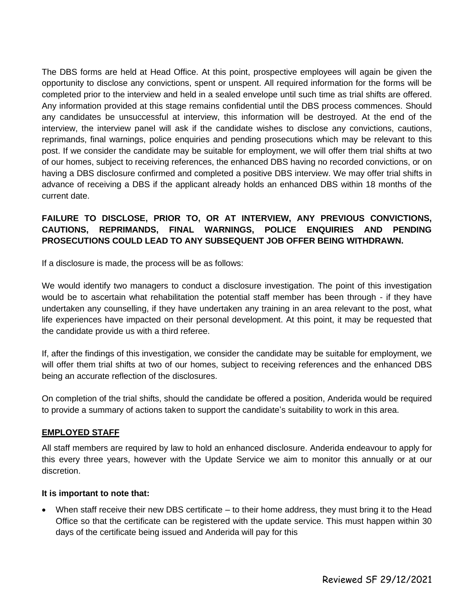The DBS forms are held at Head Office. At this point, prospective employees will again be given the opportunity to disclose any convictions, spent or unspent. All required information for the forms will be completed prior to the interview and held in a sealed envelope until such time as trial shifts are offered. Any information provided at this stage remains confidential until the DBS process commences. Should any candidates be unsuccessful at interview, this information will be destroyed. At the end of the interview, the interview panel will ask if the candidate wishes to disclose any convictions, cautions, reprimands, final warnings, police enquiries and pending prosecutions which may be relevant to this post. If we consider the candidate may be suitable for employment, we will offer them trial shifts at two of our homes, subject to receiving references, the enhanced DBS having no recorded convictions, or on having a DBS disclosure confirmed and completed a positive DBS interview. We may offer trial shifts in advance of receiving a DBS if the applicant already holds an enhanced DBS within 18 months of the current date.

## **FAILURE TO DISCLOSE, PRIOR TO, OR AT INTERVIEW, ANY PREVIOUS CONVICTIONS, CAUTIONS, REPRIMANDS, FINAL WARNINGS, POLICE ENQUIRIES AND PENDING PROSECUTIONS COULD LEAD TO ANY SUBSEQUENT JOB OFFER BEING WITHDRAWN.**

If a disclosure is made, the process will be as follows:

We would identify two managers to conduct a disclosure investigation. The point of this investigation would be to ascertain what rehabilitation the potential staff member has been through - if they have undertaken any counselling, if they have undertaken any training in an area relevant to the post, what life experiences have impacted on their personal development. At this point, it may be requested that the candidate provide us with a third referee.

If, after the findings of this investigation, we consider the candidate may be suitable for employment, we will offer them trial shifts at two of our homes, subject to receiving references and the enhanced DBS being an accurate reflection of the disclosures.

On completion of the trial shifts, should the candidate be offered a position, Anderida would be required to provide a summary of actions taken to support the candidate's suitability to work in this area.

#### **EMPLOYED STAFF**

All staff members are required by law to hold an enhanced disclosure. Anderida endeavour to apply for this every three years, however with the Update Service we aim to monitor this annually or at our discretion.

### **It is important to note that:**

• When staff receive their new DBS certificate – to their home address, they must bring it to the Head Office so that the certificate can be registered with the update service. This must happen within 30 days of the certificate being issued and Anderida will pay for this